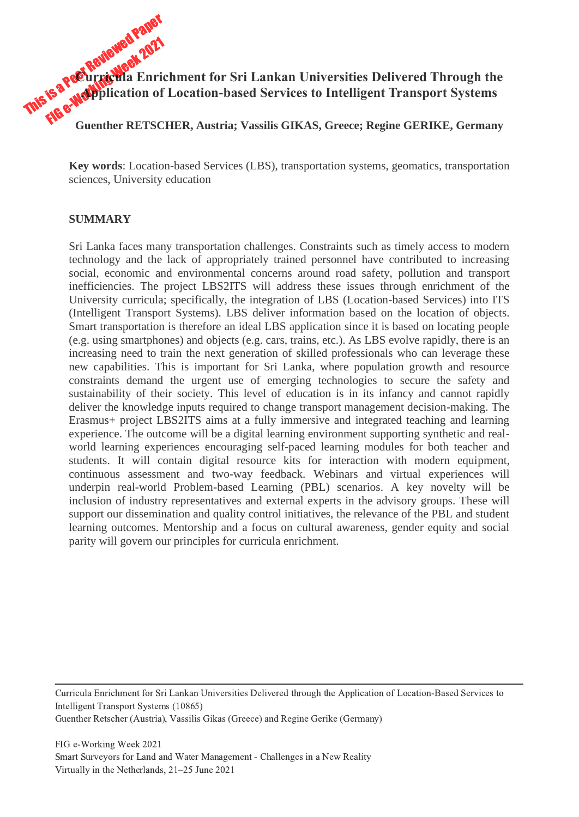This is a Peer Reviewed Paper Fa Peet Reviewed 2021<br>Fa Peet Reviewed Enric<br>FIG e-Working PETSC **Curricula Enrichment for Sri Lankan Universities Delivered Through the Application of Location-based Services to Intelligent Transport Systems GUENTIFY CONSISTED CONSISTENT IN THE AUSTRALIAN CONSISTENT CONSISTENT CONSISTENT CONSISTENT CONSISTENT CONSISTED AN GUERRIKE, Germany<br>
<b>REGISTER, Austria; Vassilis GIKAS, Greece; Regine GERIKE, Germany** 

**Key words**: Location-based Services (LBS), transportation systems, geomatics, transportation sciences, University education

#### **SUMMARY**

Sri Lanka faces many transportation challenges. Constraints such as timely access to modern technology and the lack of appropriately trained personnel have contributed to increasing social, economic and environmental concerns around road safety, pollution and transport inefficiencies. The project LBS2ITS will address these issues through enrichment of the University curricula; specifically, the integration of LBS (Location-based Services) into ITS (Intelligent Transport Systems). LBS deliver information based on the location of objects. Smart transportation is therefore an ideal LBS application since it is based on locating people (e.g. using smartphones) and objects (e.g. cars, trains, etc.). As LBS evolve rapidly, there is an increasing need to train the next generation of skilled professionals who can leverage these new capabilities. This is important for Sri Lanka, where population growth and resource constraints demand the urgent use of emerging technologies to secure the safety and sustainability of their society. This level of education is in its infancy and cannot rapidly deliver the knowledge inputs required to change transport management decision-making. The Erasmus+ project LBS2ITS aims at a fully immersive and integrated teaching and learning experience. The outcome will be a digital learning environment supporting synthetic and realworld learning experiences encouraging self-paced learning modules for both teacher and students. It will contain digital resource kits for interaction with modern equipment, continuous assessment and two-way feedback. Webinars and virtual experiences will underpin real-world Problem-based Learning (PBL) scenarios. A key novelty will be inclusion of industry representatives and external experts in the advisory groups. These will support our dissemination and quality control initiatives, the relevance of the PBL and student learning outcomes. Mentorship and a focus on cultural awareness, gender equity and social parity will govern our principles for curricula enrichment.

Curricula Enrichment for Sri Lankan Universities Delivered through the Application of Location-Based Services to Intelligent Transport Systems (10865)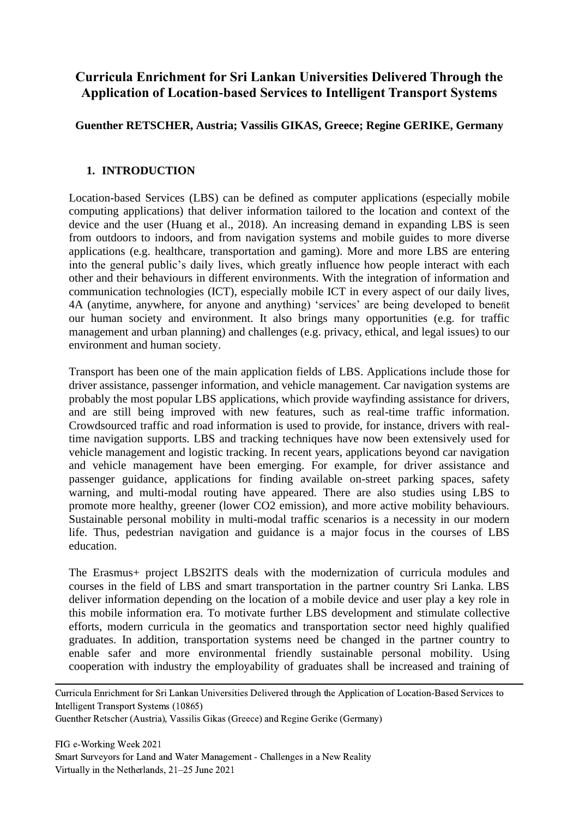# **Curricula Enrichment for Sri Lankan Universities Delivered Through the Application of Location-based Services to Intelligent Transport Systems**

# **Guenther RETSCHER, Austria; Vassilis GIKAS, Greece; Regine GERIKE, Germany**

### **1. INTRODUCTION**

Location-based Services (LBS) can be defined as computer applications (especially mobile computing applications) that deliver information tailored to the location and context of the device and the user (Huang et al., 2018). An increasing demand in expanding LBS is seen from outdoors to indoors, and from navigation systems and mobile guides to more diverse applications (e.g. healthcare, transportation and gaming). More and more LBS are entering into the general public's daily lives, which greatly influence how people interact with each other and their behaviours in different environments. With the integration of information and communication technologies (ICT), especially mobile ICT in every aspect of our daily lives, 4A (anytime, anywhere, for anyone and anything) 'services' are being developed to benefit our human society and environment. It also brings many opportunities (e.g. for traffic management and urban planning) and challenges (e.g. privacy, ethical, and legal issues) to our environment and human society.

Transport has been one of the main application fields of LBS. Applications include those for driver assistance, passenger information, and vehicle management. Car navigation systems are probably the most popular LBS applications, which provide wayfinding assistance for drivers, and are still being improved with new features, such as real-time traffic information. Crowdsourced traffic and road information is used to provide, for instance, drivers with realtime navigation supports. LBS and tracking techniques have now been extensively used for vehicle management and logistic tracking. In recent years, applications beyond car navigation and vehicle management have been emerging. For example, for driver assistance and passenger guidance, applications for finding available on-street parking spaces, safety warning, and multi-modal routing have appeared. There are also studies using LBS to promote more healthy, greener (lower CO2 emission), and more active mobility behaviours. Sustainable personal mobility in multi-modal traffic scenarios is a necessity in our modern life. Thus, pedestrian navigation and guidance is a major focus in the courses of LBS education.

The Erasmus+ project LBS2ITS deals with the modernization of curricula modules and courses in the field of LBS and smart transportation in the partner country Sri Lanka. LBS deliver information depending on the location of a mobile device and user play a key role in this mobile information era. To motivate further LBS development and stimulate collective efforts, modern curricula in the geomatics and transportation sector need highly qualified graduates. In addition, transportation systems need be changed in the partner country to enable safer and more environmental friendly sustainable personal mobility. Using cooperation with industry the employability of graduates shall be increased and training of

Curricula Enrichment for Sri Lankan Universities Delivered through the Application of Location-Based Services to Intelligent Transport Systems (10865)

Guenther Retscher (Austria), Vassilis Gikas (Greece) and Regine Gerike (Germany)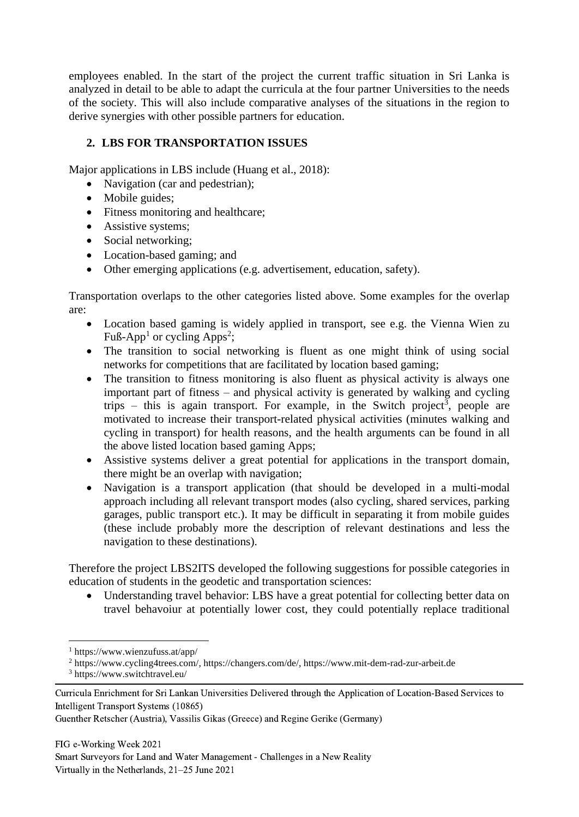employees enabled. In the start of the project the current traffic situation in Sri Lanka is analyzed in detail to be able to adapt the curricula at the four partner Universities to the needs of the society. This will also include comparative analyses of the situations in the region to derive synergies with other possible partners for education.

### **2. LBS FOR TRANSPORTATION ISSUES**

Major applications in LBS include (Huang et al., 2018):

- Navigation (car and pedestrian);
- Mobile guides:
- Fitness monitoring and healthcare;
- Assistive systems;
- Social networking;
- Location-based gaming; and
- Other emerging applications (e.g. advertisement, education, safety).

Transportation overlaps to the other categories listed above. Some examples for the overlap are:

- Location based gaming is widely applied in transport, see e.g. the Vienna Wien zu Fuß-App<sup>1</sup> or cycling Apps<sup>2</sup>;
- The transition to social networking is fluent as one might think of using social networks for competitions that are facilitated by location based gaming;
- The transition to fitness monitoring is also fluent as physical activity is always one important part of fitness – and physical activity is generated by walking and cycling trips  $-$  this is again transport. For example, in the Switch project<sup>3</sup>, people are motivated to increase their transport-related physical activities (minutes walking and cycling in transport) for health reasons, and the health arguments can be found in all the above listed location based gaming Apps;
- Assistive systems deliver a great potential for applications in the transport domain, there might be an overlap with navigation;
- Navigation is a transport application (that should be developed in a multi-modal approach including all relevant transport modes (also cycling, shared services, parking garages, public transport etc.). It may be difficult in separating it from mobile guides (these include probably more the description of relevant destinations and less the navigation to these destinations).

Therefore the project LBS2ITS developed the following suggestions for possible categories in education of students in the geodetic and transportation sciences:

• Understanding travel behavior: LBS have a great potential for collecting better data on travel behavoiur at potentially lower cost, they could potentially replace traditional

<sup>1</sup> <https://www.wienzufuss.at/app/>

<sup>2</sup> [https://www.cycling4trees.com/,](https://www.cycling4trees.com/) [https://changers.com/de/,](https://changers.com/de/) [https://www.mit-dem-rad-zur-arbeit.de](https://www.mit-dem-rad-zur-arbeit.de/)

<sup>3</sup> <https://www.switchtravel.eu/>

Curricula Enrichment for Sri Lankan Universities Delivered through the Application of Location-Based Services to Intelligent Transport Systems (10865)

Guenther Retscher (Austria), Vassilis Gikas (Greece) and Regine Gerike (Germany)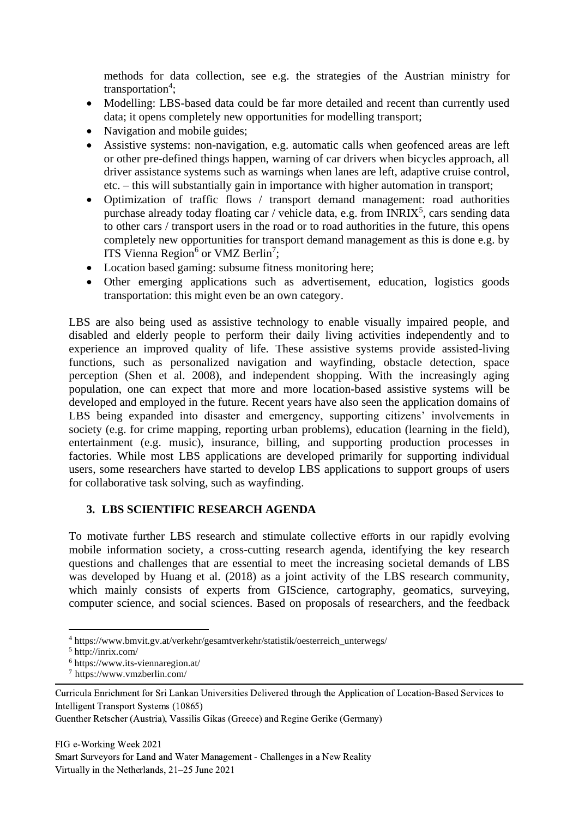methods for data collection, see e.g. the strategies of the Austrian ministry for transportation<sup>4</sup>;

- Modelling: LBS-based data could be far more detailed and recent than currently used data; it opens completely new opportunities for modelling transport;
- Navigation and mobile guides:
- Assistive systems: non-navigation, e.g. automatic calls when geofenced areas are left or other pre-defined things happen, warning of car drivers when bicycles approach, all driver assistance systems such as warnings when lanes are left, adaptive cruise control, etc. – this will substantially gain in importance with higher automation in transport;
- Optimization of traffic flows / transport demand management: road authorities purchase already today floating car / vehicle data, e.g. from  $INRIX<sup>5</sup>$ , cars sending data to other cars / transport users in the road or to road authorities in the future, this opens completely new opportunities for transport demand management as this is done e.g. by ITS Vienna Region<sup>6</sup> or VMZ Berlin<sup>7</sup>;
- Location based gaming: subsume fitness monitoring here;
- Other emerging applications such as advertisement, education, logistics goods transportation: this might even be an own category.

LBS are also being used as assistive technology to enable visually impaired people, and disabled and elderly people to perform their daily living activities independently and to experience an improved quality of life. These assistive systems provide assisted-living functions, such as personalized navigation and wayfinding, obstacle detection, space perception (Shen et al. 2008), and independent shopping. With the increasingly aging population, one can expect that more and more location-based assistive systems will be developed and employed in the future. Recent years have also seen the application domains of LBS being expanded into disaster and emergency, supporting citizens' involvements in society (e.g. for crime mapping, reporting urban problems), education (learning in the field), entertainment (e.g. music), insurance, billing, and supporting production processes in factories. While most LBS applications are developed primarily for supporting individual users, some researchers have started to develop LBS applications to support groups of users for collaborative task solving, such as wayfinding.

# **3. LBS SCIENTIFIC RESEARCH AGENDA**

To motivate further LBS research and stimulate collective efforts in our rapidly evolving mobile information society, a cross-cutting research agenda, identifying the key research questions and challenges that are essential to meet the increasing societal demands of LBS was developed by Huang et al. (2018) as a joint activity of the LBS research community, which mainly consists of experts from GIScience, cartography, geomatics, surveying, computer science, and social sciences. Based on proposals of researchers, and the feedback

<sup>4</sup> [https://www.bmvit.gv.at/verkehr/gesamtverkehr/statistik/oesterreich\\_unterwegs/](https://www.bmvit.gv.at/verkehr/gesamtverkehr/statistik/oesterreich_unterwegs/)

 $5$  http://inrix.com/

<sup>6</sup> <https://www.its-viennaregion.at/>

<sup>7</sup> https://www.vmzberlin.com/

Curricula Enrichment for Sri Lankan Universities Delivered through the Application of Location-Based Services to Intelligent Transport Systems (10865)

Guenther Retscher (Austria), Vassilis Gikas (Greece) and Regine Gerike (Germany)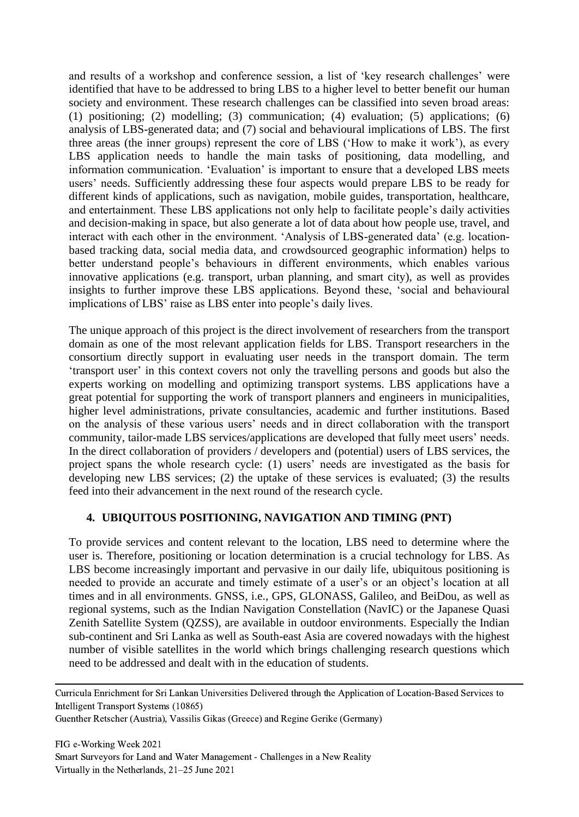and results of a workshop and conference session, a list of 'key research challenges' were identified that have to be addressed to bring LBS to a higher level to better benefit our human society and environment. These research challenges can be classified into seven broad areas: (1) positioning; (2) modelling; (3) communication; (4) evaluation; (5) applications; (6) analysis of LBS-generated data; and (7) social and behavioural implications of LBS. The first three areas (the inner groups) represent the core of LBS ('How to make it work'), as every LBS application needs to handle the main tasks of positioning, data modelling, and information communication. 'Evaluation' is important to ensure that a developed LBS meets users' needs. Sufficiently addressing these four aspects would prepare LBS to be ready for different kinds of applications, such as navigation, mobile guides, transportation, healthcare, and entertainment. These LBS applications not only help to facilitate people's daily activities and decision-making in space, but also generate a lot of data about how people use, travel, and interact with each other in the environment. 'Analysis of LBS-generated data' (e.g. locationbased tracking data, social media data, and crowdsourced geographic information) helps to better understand people's behaviours in different environments, which enables various innovative applications (e.g. transport, urban planning, and smart city), as well as provides insights to further improve these LBS applications. Beyond these, 'social and behavioural implications of LBS' raise as LBS enter into people's daily lives.

The unique approach of this project is the direct involvement of researchers from the transport domain as one of the most relevant application fields for LBS. Transport researchers in the consortium directly support in evaluating user needs in the transport domain. The term 'transport user' in this context covers not only the travelling persons and goods but also the experts working on modelling and optimizing transport systems. LBS applications have a great potential for supporting the work of transport planners and engineers in municipalities, higher level administrations, private consultancies, academic and further institutions. Based on the analysis of these various users' needs and in direct collaboration with the transport community, tailor-made LBS services/applications are developed that fully meet users' needs. In the direct collaboration of providers / developers and (potential) users of LBS services, the project spans the whole research cycle: (1) users' needs are investigated as the basis for developing new LBS services; (2) the uptake of these services is evaluated; (3) the results feed into their advancement in the next round of the research cycle.

#### **4. UBIQUITOUS POSITIONING, NAVIGATION AND TIMING (PNT)**

To provide services and content relevant to the location, LBS need to determine where the user is. Therefore, positioning or location determination is a crucial technology for LBS. As LBS become increasingly important and pervasive in our daily life, ubiquitous positioning is needed to provide an accurate and timely estimate of a user's or an object's location at all times and in all environments. GNSS, i.e., GPS, GLONASS, Galileo, and BeiDou, as well as regional systems, such as the Indian Navigation Constellation (NavIC) or the Japanese Quasi Zenith Satellite System (QZSS), are available in outdoor environments. Especially the Indian sub-continent and Sri Lanka as well as South-east Asia are covered nowadays with the highest number of visible satellites in the world which brings challenging research questions which need to be addressed and dealt with in the education of students.

Curricula Enrichment for Sri Lankan Universities Delivered through the Application of Location-Based Services to Intelligent Transport Systems (10865)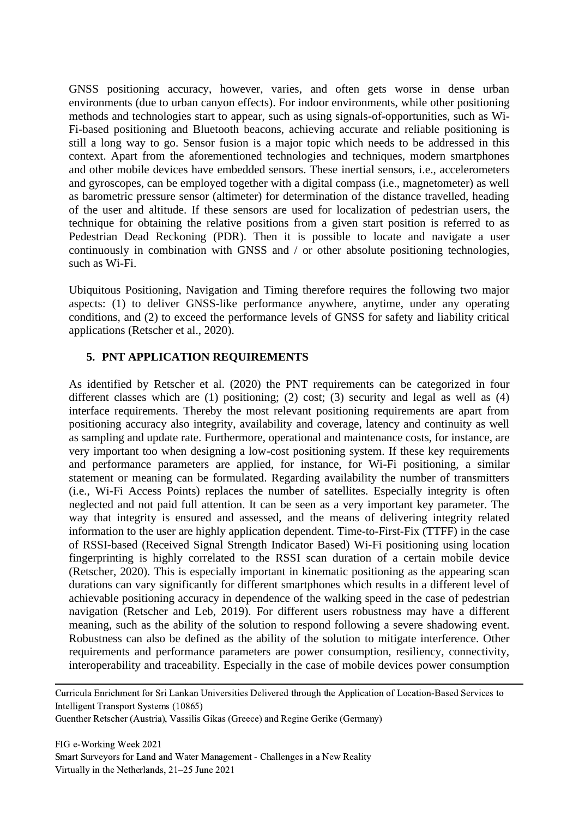GNSS positioning accuracy, however, varies, and often gets worse in dense urban environments (due to urban canyon effects). For indoor environments, while other positioning methods and technologies start to appear, such as using signals-of-opportunities, such as Wi-Fi-based positioning and Bluetooth beacons, achieving accurate and reliable positioning is still a long way to go. Sensor fusion is a major topic which needs to be addressed in this context. Apart from the aforementioned technologies and techniques, modern smartphones and other mobile devices have embedded sensors. These inertial sensors, i.e., accelerometers and gyroscopes, can be employed together with a digital compass (i.e., magnetometer) as well as barometric pressure sensor (altimeter) for determination of the distance travelled, heading of the user and altitude. If these sensors are used for localization of pedestrian users, the technique for obtaining the relative positions from a given start position is referred to as Pedestrian Dead Reckoning (PDR). Then it is possible to locate and navigate a user continuously in combination with GNSS and / or other absolute positioning technologies, such as Wi-Fi.

Ubiquitous Positioning, Navigation and Timing therefore requires the following two major aspects: (1) to deliver GNSS-like performance anywhere, anytime, under any operating conditions, and (2) to exceed the performance levels of GNSS for safety and liability critical applications (Retscher et al., 2020).

#### **5. PNT APPLICATION REQUIREMENTS**

As identified by Retscher et al. (2020) the PNT requirements can be categorized in four different classes which are (1) positioning; (2) cost; (3) security and legal as well as (4) interface requirements. Thereby the most relevant positioning requirements are apart from positioning accuracy also integrity, availability and coverage, latency and continuity as well as sampling and update rate. Furthermore, operational and maintenance costs, for instance, are very important too when designing a low-cost positioning system. If these key requirements and performance parameters are applied, for instance, for Wi-Fi positioning, a similar statement or meaning can be formulated. Regarding availability the number of transmitters (i.e., Wi-Fi Access Points) replaces the number of satellites. Especially integrity is often neglected and not paid full attention. It can be seen as a very important key parameter. The way that integrity is ensured and assessed, and the means of delivering integrity related information to the user are highly application dependent. Time-to-First-Fix (TTFF) in the case of RSSI-based (Received Signal Strength Indicator Based) Wi-Fi positioning using location fingerprinting is highly correlated to the RSSI scan duration of a certain mobile device (Retscher, 2020). This is especially important in kinematic positioning as the appearing scan durations can vary significantly for different smartphones which results in a different level of achievable positioning accuracy in dependence of the walking speed in the case of pedestrian navigation (Retscher and Leb, 2019). For different users robustness may have a different meaning, such as the ability of the solution to respond following a severe shadowing event. Robustness can also be defined as the ability of the solution to mitigate interference. Other requirements and performance parameters are power consumption, resiliency, connectivity, interoperability and traceability. Especially in the case of mobile devices power consumption

Curricula Enrichment for Sri Lankan Universities Delivered through the Application of Location-Based Services to Intelligent Transport Systems (10865)

Guenther Retscher (Austria), Vassilis Gikas (Greece) and Regine Gerike (Germany)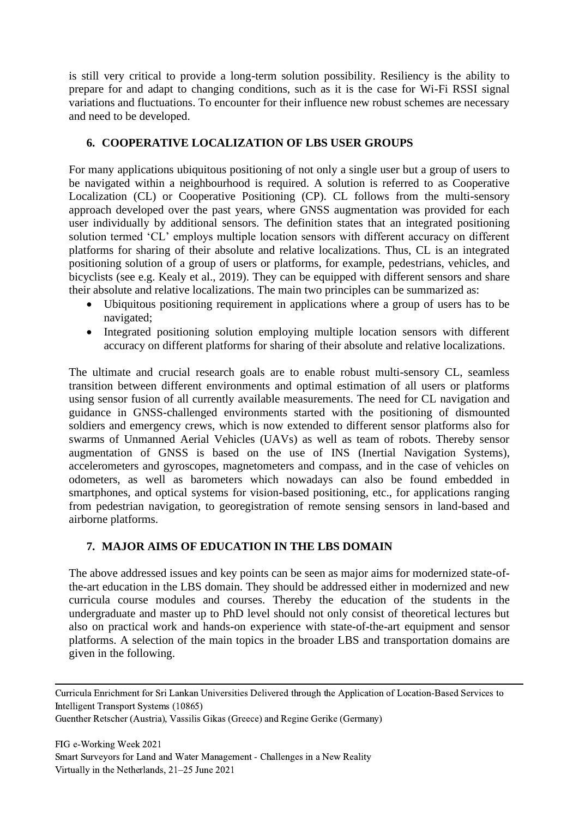is still very critical to provide a long-term solution possibility. Resiliency is the ability to prepare for and adapt to changing conditions, such as it is the case for Wi-Fi RSSI signal variations and fluctuations. To encounter for their influence new robust schemes are necessary and need to be developed.

#### **6. COOPERATIVE LOCALIZATION OF LBS USER GROUPS**

For many applications ubiquitous positioning of not only a single user but a group of users to be navigated within a neighbourhood is required. A solution is referred to as Cooperative Localization (CL) or Cooperative Positioning (CP). CL follows from the multi-sensory approach developed over the past years, where GNSS augmentation was provided for each user individually by additional sensors. The definition states that an integrated positioning solution termed 'CL' employs multiple location sensors with different accuracy on different platforms for sharing of their absolute and relative localizations. Thus, CL is an integrated positioning solution of a group of users or platforms, for example, pedestrians, vehicles, and bicyclists (see e.g. Kealy et al., 2019). They can be equipped with different sensors and share their absolute and relative localizations. The main two principles can be summarized as:

- Ubiquitous positioning requirement in applications where a group of users has to be navigated;
- Integrated positioning solution employing multiple location sensors with different accuracy on different platforms for sharing of their absolute and relative localizations.

The ultimate and crucial research goals are to enable robust multi-sensory CL, seamless transition between different environments and optimal estimation of all users or platforms using sensor fusion of all currently available measurements. The need for CL navigation and guidance in GNSS-challenged environments started with the positioning of dismounted soldiers and emergency crews, which is now extended to different sensor platforms also for swarms of Unmanned Aerial Vehicles (UAVs) as well as team of robots. Thereby sensor augmentation of GNSS is based on the use of INS (Inertial Navigation Systems), accelerometers and gyroscopes, magnetometers and compass, and in the case of vehicles on odometers, as well as barometers which nowadays can also be found embedded in smartphones, and optical systems for vision-based positioning, etc., for applications ranging from pedestrian navigation, to georegistration of remote sensing sensors in land-based and airborne platforms.

# **7. MAJOR AIMS OF EDUCATION IN THE LBS DOMAIN**

The above addressed issues and key points can be seen as major aims for modernized state-ofthe-art education in the LBS domain. They should be addressed either in modernized and new curricula course modules and courses. Thereby the education of the students in the undergraduate and master up to PhD level should not only consist of theoretical lectures but also on practical work and hands-on experience with state-of-the-art equipment and sensor platforms. A selection of the main topics in the broader LBS and transportation domains are given in the following.

Curricula Enrichment for Sri Lankan Universities Delivered through the Application of Location-Based Services to Intelligent Transport Systems (10865)

Guenther Retscher (Austria), Vassilis Gikas (Greece) and Regine Gerike (Germany)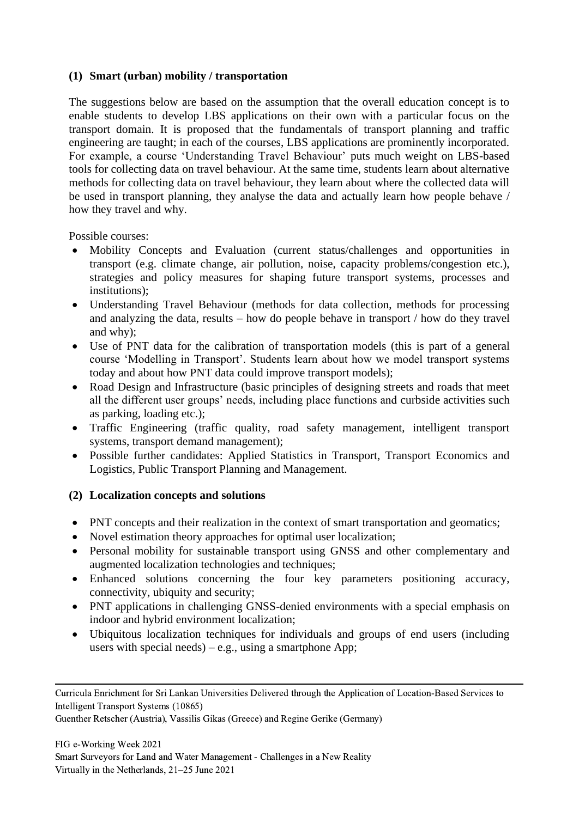#### **(1) Smart (urban) mobility / transportation**

The suggestions below are based on the assumption that the overall education concept is to enable students to develop LBS applications on their own with a particular focus on the transport domain. It is proposed that the fundamentals of transport planning and traffic engineering are taught; in each of the courses, LBS applications are prominently incorporated. For example, a course 'Understanding Travel Behaviour' puts much weight on LBS-based tools for collecting data on travel behaviour. At the same time, students learn about alternative methods for collecting data on travel behaviour, they learn about where the collected data will be used in transport planning, they analyse the data and actually learn how people behave / how they travel and why.

Possible courses:

- Mobility Concepts and Evaluation (current status/challenges and opportunities in transport (e.g. climate change, air pollution, noise, capacity problems/congestion etc.), strategies and policy measures for shaping future transport systems, processes and institutions);
- Understanding Travel Behaviour (methods for data collection, methods for processing and analyzing the data, results – how do people behave in transport / how do they travel and why);
- Use of PNT data for the calibration of transportation models (this is part of a general course 'Modelling in Transport'. Students learn about how we model transport systems today and about how PNT data could improve transport models);
- Road Design and Infrastructure (basic principles of designing streets and roads that meet all the different user groups' needs, including place functions and curbside activities such as parking, loading etc.);
- Traffic Engineering (traffic quality, road safety management, intelligent transport systems, transport demand management);
- Possible further candidates: Applied Statistics in Transport, Transport Economics and Logistics, Public Transport Planning and Management.

#### **(2) Localization concepts and solutions**

- PNT concepts and their realization in the context of smart transportation and geomatics;
- Novel estimation theory approaches for optimal user localization;
- Personal mobility for sustainable transport using GNSS and other complementary and augmented localization technologies and techniques;
- Enhanced solutions concerning the four key parameters positioning accuracy, connectivity, ubiquity and security;
- PNT applications in challenging GNSS-denied environments with a special emphasis on indoor and hybrid environment localization;
- Ubiquitous localization techniques for individuals and groups of end users (including users with special needs) – e.g., using a smartphone App;

Guenther Retscher (Austria), Vassilis Gikas (Greece) and Regine Gerike (Germany)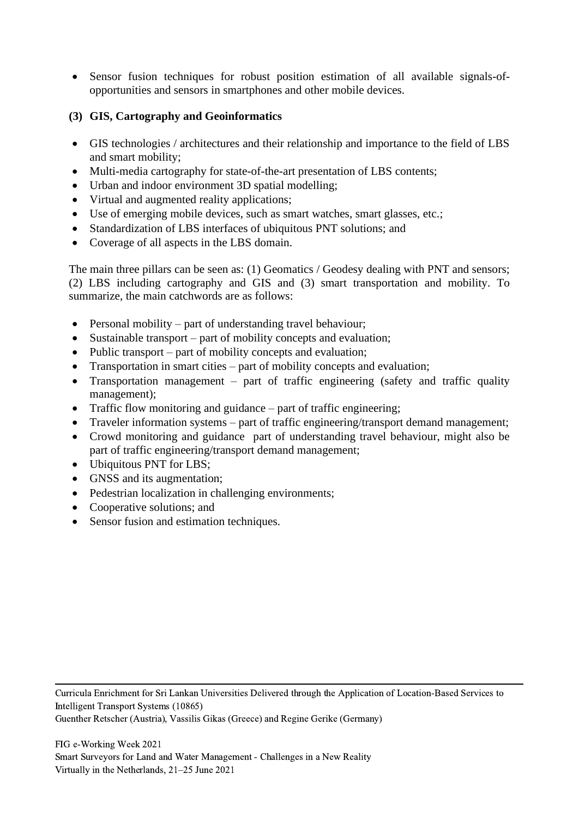- Sensor fusion techniques for robust position estimation of all available signals-ofopportunities and sensors in smartphones and other mobile devices.
- **(3) GIS, Cartography and Geoinformatics**
- GIS technologies / architectures and their relationship and importance to the field of LBS and smart mobility;
- Multi-media cartography for state-of-the-art presentation of LBS contents;
- Urban and indoor environment 3D spatial modelling;
- Virtual and augmented reality applications;
- Use of emerging mobile devices, such as smart watches, smart glasses, etc.;
- Standardization of LBS interfaces of ubiquitous PNT solutions; and
- Coverage of all aspects in the LBS domain.

The main three pillars can be seen as: (1) Geomatics / Geodesy dealing with PNT and sensors; (2) LBS including cartography and GIS and (3) smart transportation and mobility. To summarize, the main catchwords are as follows:

- Personal mobility part of understanding travel behaviour;
- Sustainable transport part of mobility concepts and evaluation;
- Public transport part of mobility concepts and evaluation;
- Transportation in smart cities part of mobility concepts and evaluation;
- Transportation management part of traffic engineering (safety and traffic quality management);
- Traffic flow monitoring and guidance part of traffic engineering;
- Traveler information systems part of traffic engineering/transport demand management;
- Crowd monitoring and guidance part of understanding travel behaviour, might also be part of traffic engineering/transport demand management;
- Ubiquitous PNT for LBS;
- GNSS and its augmentation;
- Pedestrian localization in challenging environments;
- Cooperative solutions; and
- Sensor fusion and estimation techniques.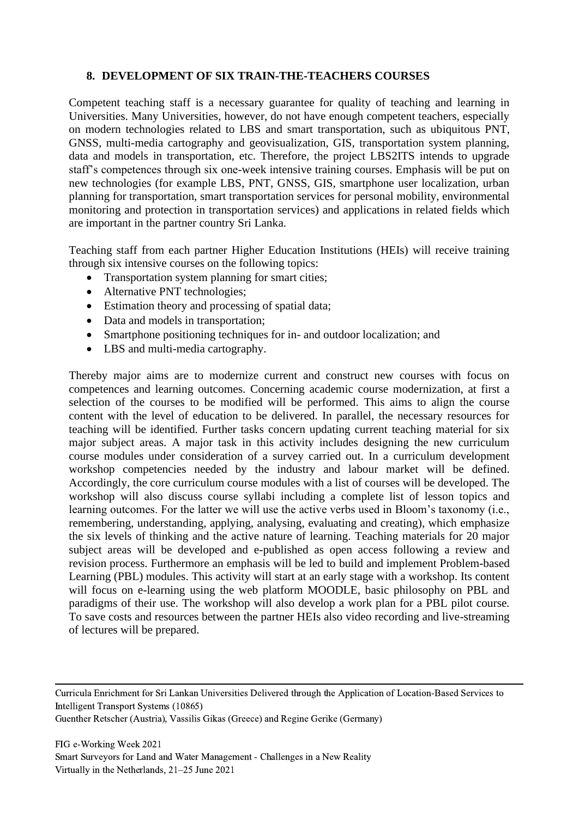#### **8. DEVELOPMENT OF SIX TRAIN-THE-TEACHERS COURSES**

Competent teaching staff is a necessary guarantee for quality of teaching and learning in Universities. Many Universities, however, do not have enough competent teachers, especially on modern technologies related to LBS and smart transportation, such as ubiquitous PNT, GNSS, multi-media cartography and geovisualization, GIS, transportation system planning, data and models in transportation, etc. Therefore, the project LBS2ITS intends to upgrade staff's competences through six one-week intensive training courses. Emphasis will be put on new technologies (for example LBS, PNT, GNSS, GIS, smartphone user localization, urban planning for transportation, smart transportation services for personal mobility, environmental monitoring and protection in transportation services) and applications in related fields which are important in the partner country Sri Lanka.

Teaching staff from each partner Higher Education Institutions (HEIs) will receive training through six intensive courses on the following topics:

- Transportation system planning for smart cities;
- Alternative PNT technologies;
- Estimation theory and processing of spatial data;
- Data and models in transportation;
- Smartphone positioning techniques for in- and outdoor localization; and
- LBS and multi-media cartography.

Thereby major aims are to modernize current and construct new courses with focus on competences and learning outcomes. Concerning academic course modernization, at first a selection of the courses to be modified will be performed. This aims to align the course content with the level of education to be delivered. In parallel, the necessary resources for teaching will be identified. Further tasks concern updating current teaching material for six major subject areas. A major task in this activity includes designing the new curriculum course modules under consideration of a survey carried out. In a curriculum development workshop competencies needed by the industry and labour market will be defined. Accordingly, the core curriculum course modules with a list of courses will be developed. The workshop will also discuss course syllabi including a complete list of lesson topics and learning outcomes. For the latter we will use the active verbs used in Bloom's taxonomy (i.e., remembering, understanding, applying, analysing, evaluating and creating), which emphasize the six levels of thinking and the active nature of learning. Teaching materials for 20 major subject areas will be developed and e-published as open access following a review and revision process. Furthermore an emphasis will be led to build and implement Problem-based Learning (PBL) modules. This activity will start at an early stage with a workshop. Its content will focus on e-learning using the web platform MOODLE, basic philosophy on PBL and paradigms of their use. The workshop will also develop a work plan for a PBL pilot course. To save costs and resources between the partner HEIs also video recording and live-streaming of lectures will be prepared.

Curricula Enrichment for Sri Lankan Universities Delivered through the Application of Location-Based Services to Intelligent Transport Systems (10865)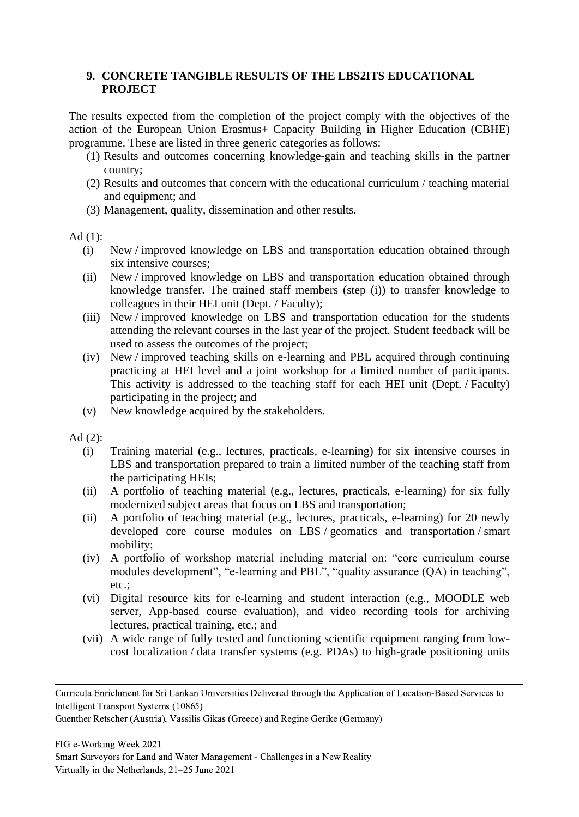#### **9. CONCRETE TANGIBLE RESULTS OF THE LBS2ITS EDUCATIONAL PROJECT**

The results expected from the completion of the project comply with the objectives of the action of the European Union Erasmus+ Capacity Building in Higher Education (CBHE) programme. These are listed in three generic categories as follows:

- (1) Results and outcomes concerning knowledge-gain and teaching skills in the partner country;
- (2) Results and outcomes that concern with the educational curriculum / teaching material and equipment; and
- (3) Management, quality, dissemination and other results.

### Ad  $(1)$ :

- (i) New / improved knowledge on LBS and transportation education obtained through six intensive courses;
- (ii) New / improved knowledge on LBS and transportation education obtained through knowledge transfer. The trained staff members (step (i)) to transfer knowledge to colleagues in their HEI unit (Dept. / Faculty);
- (iii) New / improved knowledge on LBS and transportation education for the students attending the relevant courses in the last year of the project. Student feedback will be used to assess the outcomes of the project;
- (iv) New / improved teaching skills on e-learning and PBL acquired through continuing practicing at HEI level and a joint workshop for a limited number of participants. This activity is addressed to the teaching staff for each HEI unit (Dept. / Faculty) participating in the project; and
- (v) New knowledge acquired by the stakeholders.

Ad (2):

- (i) Training material (e.g., lectures, practicals, e-learning) for six intensive courses in LBS and transportation prepared to train a limited number of the teaching staff from the participating HEIs;
- (ii) A portfolio of teaching material (e.g., lectures, practicals, e-learning) for six fully modernized subject areas that focus on LBS and transportation;
- (ii) A portfolio of teaching material (e.g., lectures, practicals, e-learning) for 20 newly developed core course modules on LBS / geomatics and transportation / smart mobility;
- (iv) A portfolio of workshop material including material on: "core curriculum course modules development", "e-learning and PBL", "quality assurance (QA) in teaching", etc.;
- (vi) Digital resource kits for e-learning and student interaction (e.g., MOODLE web server, App-based course evaluation), and video recording tools for archiving lectures, practical training, etc.; and
- (vii) A wide range of fully tested and functioning scientific equipment ranging from lowcost localization / data transfer systems (e.g. PDAs) to high-grade positioning units

Curricula Enrichment for Sri Lankan Universities Delivered through the Application of Location-Based Services to Intelligent Transport Systems (10865)

Guenther Retscher (Austria), Vassilis Gikas (Greece) and Regine Gerike (Germany)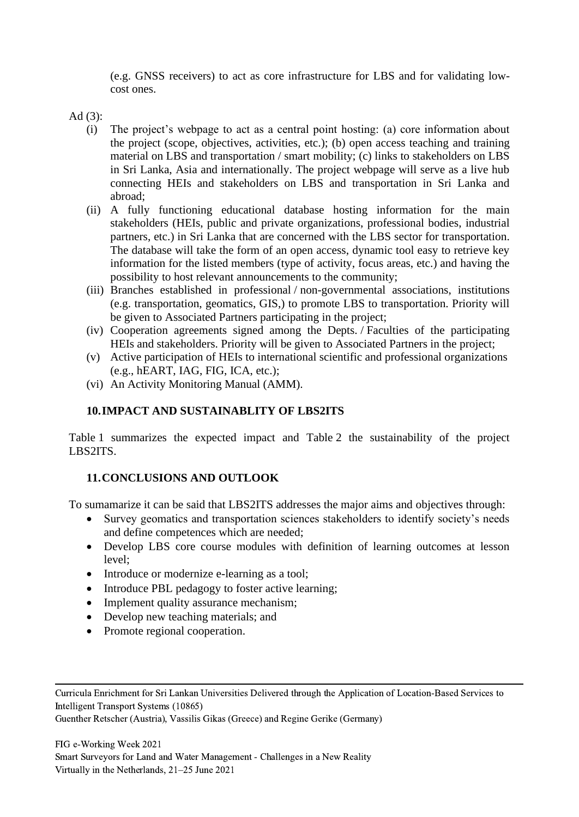(e.g. GNSS receivers) to act as core infrastructure for LBS and for validating lowcost ones.

Ad (3):

- (i) The project's webpage to act as a central point hosting: (a) core information about the project (scope, objectives, activities, etc.); (b) open access teaching and training material on LBS and transportation / smart mobility; (c) links to stakeholders on LBS in Sri Lanka, Asia and internationally. The project webpage will serve as a live hub connecting HEIs and stakeholders on LBS and transportation in Sri Lanka and abroad;
- (ii) A fully functioning educational database hosting information for the main stakeholders (HEIs, public and private organizations, professional bodies, industrial partners, etc.) in Sri Lanka that are concerned with the LBS sector for transportation. The database will take the form of an open access, dynamic tool easy to retrieve key information for the listed members (type of activity, focus areas, etc.) and having the possibility to host relevant announcements to the community;
- (iii) Branches established in professional / non-governmental associations, institutions (e.g. transportation, geomatics, GIS,) to promote LBS to transportation. Priority will be given to Associated Partners participating in the project;
- (iv) Cooperation agreements signed among the Depts. / Faculties of the participating HEIs and stakeholders. Priority will be given to Associated Partners in the project;
- (v) Active participation of HEIs to international scientific and professional organizations (e.g., hEART, IAG, FIG, ICA, etc.);
- (vi) An Activity Monitoring Manual (AMM).

# **10.IMPACT AND SUSTAINABLITY OF LBS2ITS**

Table 1 summarizes the expected impact and Table 2 the sustainability of the project LBS2ITS.

# **11.CONCLUSIONS AND OUTLOOK**

To sumamarize it can be said that LBS2ITS addresses the major aims and objectives through:

- Survey geomatics and transportation sciences stakeholders to identify society's needs and define competences which are needed;
- Develop LBS core course modules with definition of learning outcomes at lesson level;
- Introduce or modernize e-learning as a tool;
- Introduce PBL pedagogy to foster active learning;
- Implement quality assurance mechanism;
- Develop new teaching materials; and
- Promote regional cooperation.

Curricula Enrichment for Sri Lankan Universities Delivered through the Application of Location-Based Services to Intelligent Transport Systems (10865)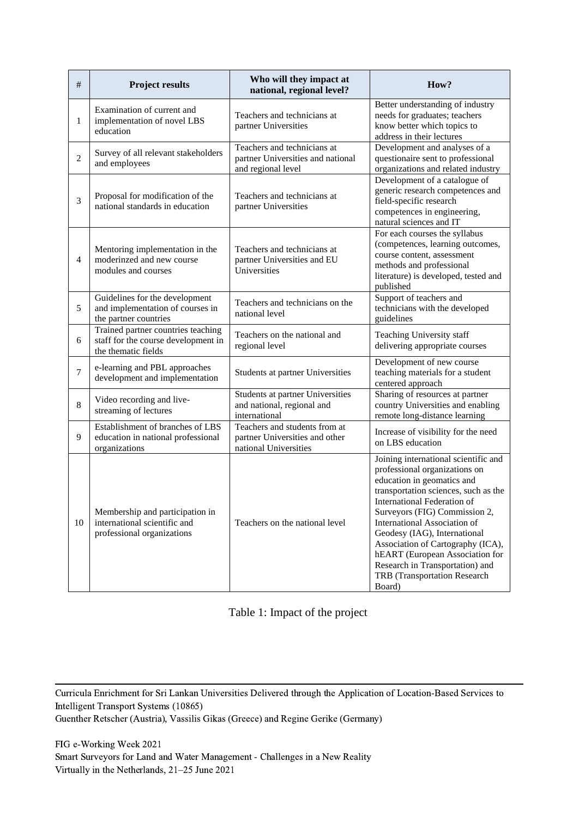| $\#$             | <b>Project results</b>                                                                           | Who will they impact at<br>national, regional level?                                     | How?                                                                                                                                                                                                                                                                                                                                                                                                                             |
|------------------|--------------------------------------------------------------------------------------------------|------------------------------------------------------------------------------------------|----------------------------------------------------------------------------------------------------------------------------------------------------------------------------------------------------------------------------------------------------------------------------------------------------------------------------------------------------------------------------------------------------------------------------------|
| $\mathbf{1}$     | Examination of current and<br>implementation of novel LBS<br>education                           | Teachers and technicians at<br>partner Universities                                      | Better understanding of industry<br>needs for graduates; teachers<br>know better which topics to<br>address in their lectures                                                                                                                                                                                                                                                                                                    |
| $\overline{2}$   | Survey of all relevant stakeholders<br>and employees                                             | Teachers and technicians at<br>partner Universities and national<br>and regional level   | Development and analyses of a<br>questionaire sent to professional<br>organizations and related industry                                                                                                                                                                                                                                                                                                                         |
| 3                | Proposal for modification of the<br>national standards in education                              | Teachers and technicians at<br>partner Universities                                      | Development of a catalogue of<br>generic research competences and<br>field-specific research<br>competences in engineering,<br>natural sciences and IT                                                                                                                                                                                                                                                                           |
| $\overline{4}$   | Mentoring implementation in the<br>moderinzed and new course<br>modules and courses              | Teachers and technicians at<br>partner Universities and EU<br>Universities               | For each courses the syllabus<br>(competences, learning outcomes,<br>course content, assessment<br>methods and professional<br>literature) is developed, tested and<br>published                                                                                                                                                                                                                                                 |
| 5                | Guidelines for the development<br>and implementation of courses in<br>the partner countries      | Teachers and technicians on the<br>national level                                        | Support of teachers and<br>technicians with the developed<br>guidelines                                                                                                                                                                                                                                                                                                                                                          |
| 6                | Trained partner countries teaching<br>staff for the course development in<br>the thematic fields | Teachers on the national and<br>regional level                                           | Teaching University staff<br>delivering appropriate courses                                                                                                                                                                                                                                                                                                                                                                      |
| $\boldsymbol{7}$ | e-learning and PBL approaches<br>development and implementation                                  | Students at partner Universities                                                         | Development of new course<br>teaching materials for a student<br>centered approach                                                                                                                                                                                                                                                                                                                                               |
| $\,8\,$          | Video recording and live-<br>streaming of lectures                                               | Students at partner Universities<br>and national, regional and<br>international          | Sharing of resources at partner<br>country Universities and enabling<br>remote long-distance learning                                                                                                                                                                                                                                                                                                                            |
| 9                | Establishment of branches of LBS<br>education in national professional<br>organizations          | Teachers and students from at<br>partner Universities and other<br>national Universities | Increase of visibility for the need<br>on LBS education                                                                                                                                                                                                                                                                                                                                                                          |
| 10               | Membership and participation in<br>international scientific and<br>professional organizations    | Teachers on the national level                                                           | Joining international scientific and<br>professional organizations on<br>education in geomatics and<br>transportation sciences, such as the<br>International Federation of<br>Surveyors (FIG) Commission 2,<br>International Association of<br>Geodesy (IAG), International<br>Association of Cartography (ICA),<br>hEART (European Association for<br>Research in Transportation) and<br>TRB (Transportation Research<br>Board) |

Table 1: Impact of the project

Curricula Enrichment for Sri Lankan Universities Delivered through the Application of Location-Based Services to Intelligent Transport Systems (10865)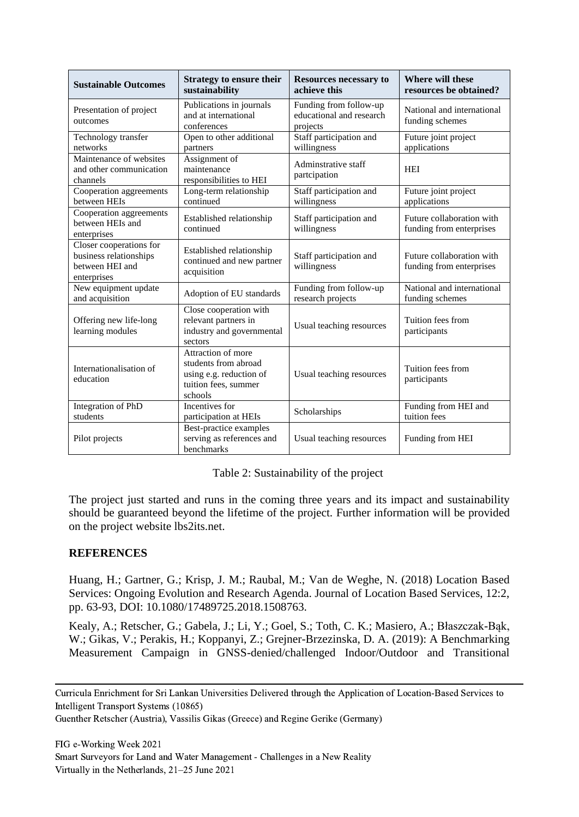| <b>Sustainable Outcomes</b>                                                         | <b>Strategy to ensure their</b><br>sustainability                                                        | <b>Resources necessary to</b><br>achieve this                  | Where will these<br>resources be obtained?            |
|-------------------------------------------------------------------------------------|----------------------------------------------------------------------------------------------------------|----------------------------------------------------------------|-------------------------------------------------------|
| Presentation of project<br>outcomes                                                 | Publications in journals<br>and at international<br>conferences                                          | Funding from follow-up<br>educational and research<br>projects | National and international<br>funding schemes         |
| Technology transfer<br>networks                                                     | Open to other additional<br>partners                                                                     | Staff participation and<br>willingness                         | Future joint project<br>applications                  |
| Maintenance of websites<br>and other communication<br>channels                      | Assignment of<br>maintenance<br>responsibilities to HEI                                                  | Adminstrative staff<br>partcipation                            | <b>HEI</b>                                            |
| Cooperation aggreements<br>between HEIs                                             | Long-term relationship<br>continued                                                                      | Staff participation and<br>willingness                         | Future joint project<br>applications                  |
| Cooperation aggreements<br>between HEIs and<br>enterprises                          | Established relationship<br>continued                                                                    | Staff participation and<br>willingness                         | Future collaboration with<br>funding from enterprises |
| Closer cooperations for<br>business relationships<br>between HEI and<br>enterprises | Established relationship<br>continued and new partner<br>acquisition                                     | Staff participation and<br>willingness                         | Future collaboration with<br>funding from enterprises |
| New equipment update<br>and acquisition                                             | Adoption of EU standards                                                                                 | Funding from follow-up<br>research projects                    | National and international<br>funding schemes         |
| Offering new life-long<br>learning modules                                          | Close cooperation with<br>relevant partners in<br>industry and governmental<br>sectors                   | Usual teaching resources                                       | Tuition fees from<br>participants                     |
| Internationalisation of<br>education                                                | Attraction of more<br>students from abroad<br>using e.g. reduction of<br>tuition fees, summer<br>schools | Usual teaching resources                                       | Tuition fees from<br>participants                     |
| Integration of PhD<br>students                                                      | Incentives for<br>participation at HEIs                                                                  | Scholarships                                                   | Funding from HEI and<br>tuition fees                  |
| Pilot projects                                                                      | Best-practice examples<br>serving as references and<br>benchmarks                                        | Usual teaching resources                                       | Funding from HEI                                      |

#### Table 2: Sustainability of the project

The project just started and runs in the coming three years and its impact and sustainability should be guaranteed beyond the lifetime of the project. Further information will be provided on the project website lbs2its.net.

#### **REFERENCES**

Huang, H.; Gartner, G.; Krisp, J. M.; Raubal, M.; Van de Weghe, N. (2018) Location Based Services: Ongoing Evolution and Research Agenda. Journal of Location Based Services, 12:2, pp. 63-93, DOI: 10.1080/17489725.2018.1508763.

Kealy, A.; Retscher, G.; Gabela, J.; Li, Y.; Goel, S.; Toth, C. K.; Masiero, A.; Błaszczak-Bąk, W.; Gikas, V.; Perakis, H.; Koppanyi, Z.; Grejner-Brzezinska, D. A. (2019): A Benchmarking Measurement Campaign in GNSS-denied/challenged Indoor/Outdoor and Transitional

Curricula Enrichment for Sri Lankan Universities Delivered through the Application of Location-Based Services to Intelligent Transport Systems (10865)

Guenther Retscher (Austria), Vassilis Gikas (Greece) and Regine Gerike (Germany)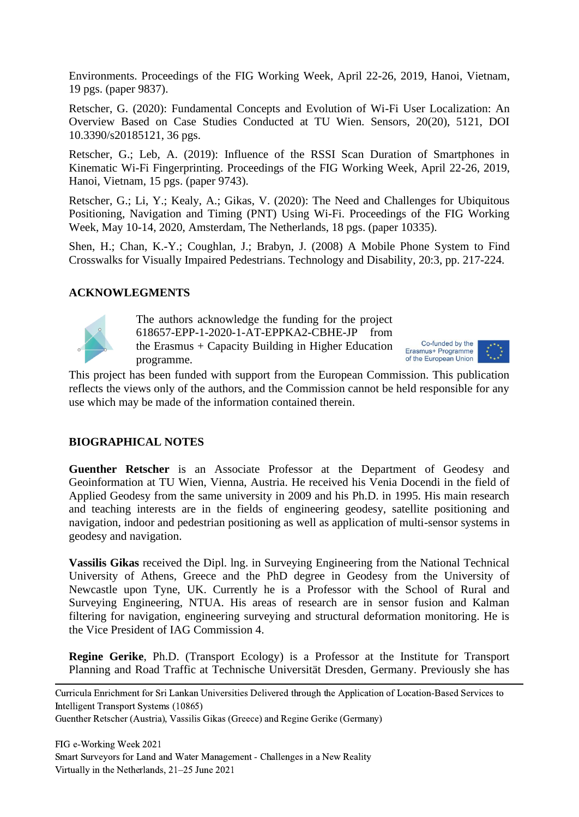Environments. Proceedings of the FIG Working Week, April 22-26, 2019, Hanoi, Vietnam, 19 pgs. (paper 9837).

Retscher, G. (2020): Fundamental Concepts and Evolution of Wi-Fi User Localization: An Overview Based on Case Studies Conducted at TU Wien. Sensors, 20(20), 5121, DOI 10.3390/s20185121, 36 pgs.

Retscher, G.; Leb, A. (2019): Influence of the RSSI Scan Duration of Smartphones in Kinematic Wi-Fi Fingerprinting. Proceedings of the FIG Working Week, April 22-26, 2019, Hanoi, Vietnam, 15 pgs. (paper 9743).

Retscher, G.; Li, Y.; Kealy, A.; Gikas, V. (2020): The Need and Challenges for Ubiquitous Positioning, Navigation and Timing (PNT) Using Wi-Fi. Proceedings of the FIG Working Week, May 10-14, 2020, Amsterdam, The Netherlands, 18 pgs. (paper 10335).

Shen, H.; Chan, K.-Y.; Coughlan, J.; Brabyn, J. (2008) A Mobile Phone System to Find Crosswalks for Visually Impaired Pedestrians. Technology and Disability, 20:3, pp. 217-224.

#### **ACKNOWLEGMENTS**



The authors acknowledge the funding for the project 618657-EPP-1-2020-1-AT-EPPKA2-CBHE-JP from the Erasmus + Capacity Building in Higher Education programme.



This project has been funded with support from the European Commission. This publication reflects the views only of the authors, and the Commission cannot be held responsible for any use which may be made of the information contained therein.

#### **BIOGRAPHICAL NOTES**

**Guenther Retscher** is an Associate Professor at the Department of Geodesy and Geoinformation at TU Wien, Vienna, Austria. He received his Venia Docendi in the field of Applied Geodesy from the same university in 2009 and his Ph.D. in 1995. His main research and teaching interests are in the fields of engineering geodesy, satellite positioning and navigation, indoor and pedestrian positioning as well as application of multi-sensor systems in geodesy and navigation.

**Vassilis Gikas** received the Dipl. lng. in Surveying Engineering from the National Technical University of Athens, Greece and the PhD degree in Geodesy from the University of Newcastle upon Tyne, UK. Currently he is a Professor with the School of Rural and Surveying Engineering, NTUA. His areas of research are in sensor fusion and Kalman filtering for navigation, engineering surveying and structural deformation monitoring. He is the Vice President of IAG Commission 4.

**Regine Gerike**, Ph.D. (Transport Ecology) is a Professor at the Institute for Transport Planning and Road Traffic at Technische Universität Dresden, Germany. Previously she has

Curricula Enrichment for Sri Lankan Universities Delivered through the Application of Location-Based Services to Intelligent Transport Systems (10865)